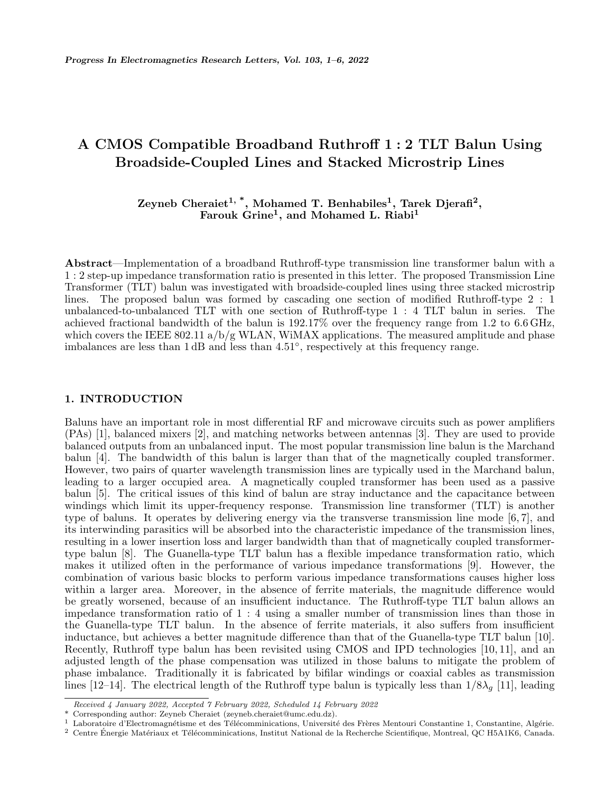# **A CMOS Compatible Broadband Ruthroff 1 : 2 TLT Balun Using Broadside-Coupled Lines and Stacked Microstrip Lines**

**Zeyneb Cheraiet1, \*, Mohamed T. Benhabiles<sup>1</sup> , Tarek Djerafi<sup>2</sup> , Farouk Grine<sup>1</sup> , and Mohamed L. Riabi<sup>1</sup>**

**Abstract**—Implementation of a broadband Ruthroff-type transmission line transformer balun with a 1 : 2 step-up impedance transformation ratio is presented in this letter. The proposed Transmission Line Transformer (TLT) balun was investigated with broadside-coupled lines using three stacked microstrip lines. The proposed balun was formed by cascading one section of modified Ruthroff-type 2 : 1 unbalanced-to-unbalanced TLT with one section of Ruthroff-type 1 : 4 TLT balun in series. The achieved fractional bandwidth of the balun is 192.17% over the frequency range from 1.2 to 6.6 GHz, which covers the IEEE 802.11  $a/b/g$  WLAN, WiMAX applications. The measured amplitude and phase imbalances are less than 1 dB and less than 4.51*◦* , respectively at this frequency range.

## **1. INTRODUCTION**

Baluns have an important role in most differential RF and microwave circuits such as power amplifiers (PAs) [1], balanced mixers [2], and matching networks between antennas [3]. They are used to provide balanced outputs from an unbalanced input. The most popular transmission line balun is the Marchand balun [4]. The bandwidth of this balun is larger than that of the magnetically coupled transformer. However, two pairs of quarter wavelength transmission lines are typically used in the Marchand balun, leading to a larger occupied area. A magnetically coupled transformer has been used as a passive balun [5]. The critical issues of this kind of balun are stray inductance and the capacitance between windings which limit its upper-frequency response. Transmission line transformer (TLT) is another type of baluns. It operates by delivering energy via the transverse transmission line mode [6, 7], and its interwinding parasitics will be absorbed into the characteristic impedance of the transmission lines, resulting in a lower insertion loss and larger bandwidth than that of magnetically coupled transformertype balun [8]. The Guanella-type TLT balun has a flexible impedance transformation ratio, which makes it utilized often in the performance of various impedance transformations [9]. However, the combination of various basic blocks to perform various impedance transformations causes higher loss within a larger area. Moreover, in the absence of ferrite materials, the magnitude difference would be greatly worsened, because of an insufficient inductance. The Ruthroff-type TLT balun allows an impedance transformation ratio of 1 : 4 using a smaller number of transmission lines than those in the Guanella-type TLT balun. In the absence of ferrite materials, it also suffers from insufficient inductance, but achieves a better magnitude difference than that of the Guanella-type TLT balun [10]. Recently, Ruthroff type balun has been revisited using CMOS and IPD technologies [10, 11], and an adjusted length of the phase compensation was utilized in those baluns to mitigate the problem of phase imbalance. Traditionally it is fabricated by bifilar windings or coaxial cables as transmission lines [12–14]. The electrical length of the Ruthroff type balun is typically less than  $1/8\lambda_q$  [11], leading

*Received 4 January 2022, Accepted 7 February 2022, Scheduled 14 February 2022*

<sup>\*</sup> Corresponding author: Zeyneb Cheraiet (zeyneb.cheraiet@umc.edu.dz).

Laboratoire d'Electromagnétisme et des Télécomminications, Université des Frères Mentouri Constantine 1, Constantine, Algérie.

 $2$  Centre Énergie Matériaux et Télécomminications, Institut National de la Recherche Scientifique, Montreal, QC H5A1K6, Canada.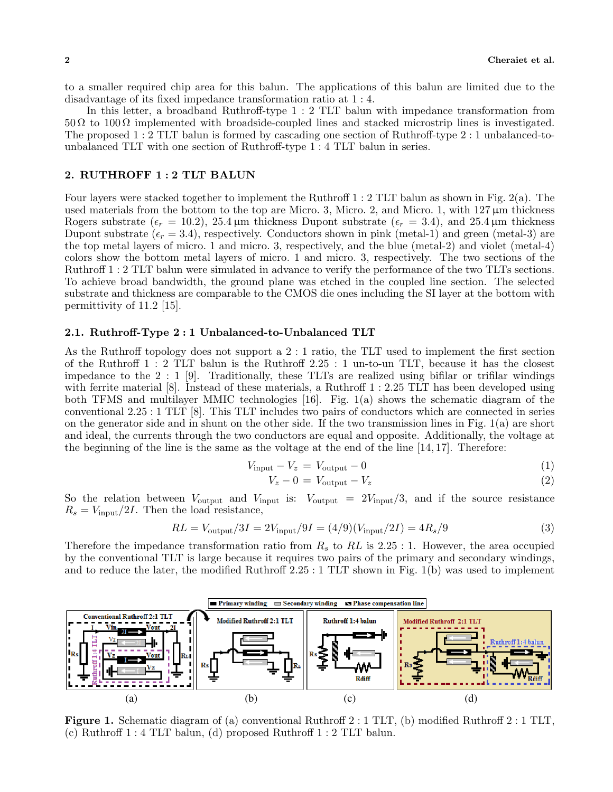to a smaller required chip area for this balun. The applications of this balun are limited due to the disadvantage of its fixed impedance transformation ratio at 1 : 4.

In this letter, a broadband Ruthroff-type 1 : 2 TLT balun with impedance transformation from  $50 \Omega$  to  $100 \Omega$  implemented with broadside-coupled lines and stacked microstrip lines is investigated. The proposed 1 : 2 TLT balun is formed by cascading one section of Ruthroff-type 2 : 1 unbalanced-tounbalanced TLT with one section of Ruthroff-type 1 : 4 TLT balun in series.

## **2. RUTHROFF 1 : 2 TLT BALUN**

Four layers were stacked together to implement the Ruthroff 1 : 2 TLT balun as shown in Fig. 2(a). The used materials from the bottom to the top are Micro. 3, Micro. 2, and Micro. 1, with  $127 \,\mu m$  thickness Rogers substrate ( $\epsilon_r = 10.2$ ), 25.4  $\mu$ m thickness Dupont substrate ( $\epsilon_r = 3.4$ ), and 25.4  $\mu$ m thickness Dupont substrate  $(\epsilon_r = 3.4)$ , respectively. Conductors shown in pink (metal-1) and green (metal-3) are the top metal layers of micro. 1 and micro. 3, respectively, and the blue (metal-2) and violet (metal-4) colors show the bottom metal layers of micro. 1 and micro. 3, respectively. The two sections of the Ruthroff 1 : 2 TLT balun were simulated in advance to verify the performance of the two TLTs sections. To achieve broad bandwidth, the ground plane was etched in the coupled line section. The selected substrate and thickness are comparable to the CMOS die ones including the SI layer at the bottom with permittivity of  $11.2$  [15].

### **2.1. Ruthroff-Type 2 : 1 Unbalanced-to-Unbalanced TLT**

As the Ruthroff topology does not support a 2 : 1 ratio, the TLT used to implement the first section of the Ruthroff 1 : 2 TLT balun is the Ruthroff 2*.*25 : 1 un-to-un TLT, because it has the closest impedance to the 2 : 1 [9]. Traditionally, these TLTs are realized using bifilar or trifilar windings with ferrite material [8]. Instead of these materials, a Ruthroff 1 : 2*.*25 TLT has been developed using both TFMS and multilayer MMIC technologies [16]. Fig. 1(a) shows the schematic diagram of the conventional 2*.*25 : 1 TLT [8]. This TLT includes two pairs of conductors which are connected in series on the generator side and in shunt on the other side. If the two transmission lines in Fig.  $1(a)$  are short and ideal, the currents through the two conductors are equal and opposite. Additionally, the voltage at the beginning of the line is the same as the voltage at the end of the line [14, 17]. Therefore:

$$
V_{\text{input}} - V_z = V_{\text{output}} - 0 \tag{1}
$$

$$
V_z - 0 = V_{\text{output}} - V_z \tag{2}
$$

So the relation between *V*output and *V*input is: *V*output = 2*V*input*/*3, and if the source resistance  $R_s = V_{\text{input}}/2I$ . Then the load resistance,

$$
RL = V_{\text{output}} / 3I = 2V_{\text{input}} / 9I = (4/9)(V_{\text{input}} / 2I) = 4R_s / 9
$$
\n(3)

Therefore the impedance transformation ratio from *R<sup>s</sup>* to *RL* is 2*.*25 : 1. However, the area occupied by the conventional TLT is large because it requires two pairs of the primary and secondary windings, and to reduce the later, the modified Ruthroff 2*.*25 : 1 TLT shown in Fig. 1(b) was used to implement



**Figure 1.** Schematic diagram of (a) conventional Ruthroff 2 : 1 TLT, (b) modified Ruthroff 2 : 1 TLT, (c) Ruthroff 1 : 4 TLT balun, (d) proposed Ruthroff 1 : 2 TLT balun.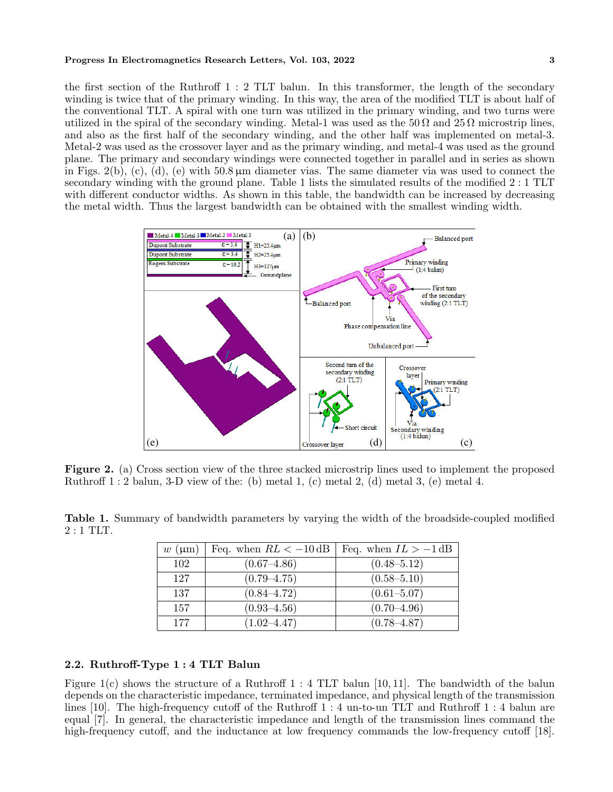#### **Progress In Electromagnetics Research Letters, Vol. 103, 2022 3**

the first section of the Ruthroff 1 : 2 TLT balun. In this transformer, the length of the secondary winding is twice that of the primary winding. In this way, the area of the modified TLT is about half of the conventional TLT. A spiral with one turn was utilized in the primary winding, and two turns were utilized in the spiral of the secondary winding. Metal-1 was used as the  $50 \Omega$  and  $25 \Omega$  microstrip lines, and also as the first half of the secondary winding, and the other half was implemented on metal-3. Metal-2 was used as the crossover layer and as the primary winding, and metal-4 was used as the ground plane. The primary and secondary windings were connected together in parallel and in series as shown in Figs.  $2(b)$ , (c), (d), (e) with  $50.8 \mu m$  diameter vias. The same diameter via was used to connect the secondary winding with the ground plane. Table 1 lists the simulated results of the modified 2 : 1 TLT with different conductor widths. As shown in this table, the bandwidth can be increased by decreasing the metal width. Thus the largest bandwidth can be obtained with the smallest winding width.



**Figure 2.** (a) Cross section view of the three stacked microstrip lines used to implement the proposed Ruthroff  $1:2$  balun, 3-D view of the: (b) metal 1, (c) metal 2, (d) metal 3, (e) metal 4.

|            |  | <b>Table 1.</b> Summary of bandwidth parameters by varying the width of the broadside-coupled modified |  |  |  |  |  |
|------------|--|--------------------------------------------------------------------------------------------------------|--|--|--|--|--|
| $2:1$ TLT. |  |                                                                                                        |  |  |  |  |  |

| $w \text{ } (\mu m)$ | Feq. when $RL < -10$ dB | Feq. when $IL > -1 dB$ |
|----------------------|-------------------------|------------------------|
| 102                  | $(0.67 - 4.86)$         | $(0.48 - 5.12)$        |
| 127                  | $(0.79 - 4.75)$         | $(0.58 - 5.10)$        |
| 137                  | $(0.84 - 4.72)$         | $(0.61 - 5.07)$        |
| 157                  | $(0.93 - 4.56)$         | $(0.70 - 4.96)$        |
| 177                  | $(1.02 - 4.47)$         | $(0.78 - 4.87)$        |

## **2.2. Ruthroff-Type 1 : 4 TLT Balun**

Figure 1(c) shows the structure of a Ruthroff 1 : 4 TLT balun [10, 11]. The bandwidth of the balun depends on the characteristic impedance, terminated impedance, and physical length of the transmission lines [10]. The high-frequency cutoff of the Ruthroff 1 : 4 un-to-un TLT and Ruthroff 1 : 4 balun are equal [7]. In general, the characteristic impedance and length of the transmission lines command the high-frequency cutoff, and the inductance at low frequency commands the low-frequency cutoff [18].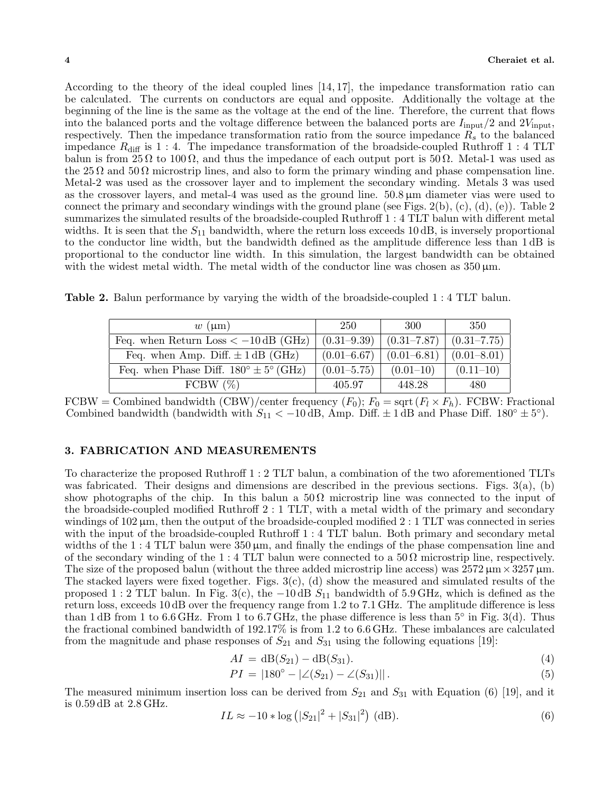According to the theory of the ideal coupled lines  $[14, 17]$ , the impedance transformation ratio can be calculated. The currents on conductors are equal and opposite. Additionally the voltage at the beginning of the line is the same as the voltage at the end of the line. Therefore, the current that flows into the balanced ports and the voltage difference between the balanced ports are *I*input*/*2 and 2*V*input, respectively. Then the impedance transformation ratio from the source impedance *R<sup>s</sup>* to the balanced impedance  $R_{\text{diff}}$  is 1 : 4. The impedance transformation of the broadside-coupled Ruthroff 1 : 4 TLT balun is from  $25 \Omega$  to  $100 \Omega$ , and thus the impedance of each output port is  $50 \Omega$ . Metal-1 was used as the 25  $\Omega$  and 50  $\Omega$  microstrip lines, and also to form the primary winding and phase compensation line. Metal-2 was used as the crossover layer and to implement the secondary winding. Metals 3 was used as the crossover layers, and metal-4 was used as the ground line. 50.8 µm diameter vias were used to connect the primary and secondary windings with the ground plane (see Figs. 2(b),  $(c)$ ,  $(d)$ ,  $(e)$ ). Table 2 summarizes the simulated results of the broadside-coupled Ruthroff 1 : 4 TLT balun with different metal widths. It is seen that the  $S_{11}$  bandwidth, where the return loss exceeds 10 dB, is inversely proportional to the conductor line width, but the bandwidth defined as the amplitude difference less than 1 dB is proportional to the conductor line width. In this simulation, the largest bandwidth can be obtained with the widest metal width. The metal width of the conductor line was chosen as  $350 \,\mu \mathrm{m}$ .

**Table 2.** Balun performance by varying the width of the broadside-coupled 1 : 4 TLT balun.

| $w \text{ } (\mu m)$                                    | 250             | 300             | 350             |
|---------------------------------------------------------|-----------------|-----------------|-----------------|
| Feq. when Return Loss $<-10$ dB (GHz)                   | $(0.31 - 9.39)$ | $(0.31 - 7.87)$ | $(0.31 - 7.75)$ |
| Feq. when Amp. Diff. $\pm$ 1 dB (GHz)                   | $(0.01 - 6.67)$ | $(0.01 - 6.81)$ | $(0.01 - 8.01)$ |
| Feq. when Phase Diff. $180^{\circ} \pm 5^{\circ}$ (GHz) | $(0.01 - 5.75)$ | $(0.01-10)$     | $(0.11-10)$     |
| FCBW $(\%)$                                             | 405.97          | 448.28          | 480             |

FCBW = Combined bandwidth (CBW)/center frequency  $(F_0)$ ;  $F_0 = \text{sqrt}(F_l \times F_h)$ . FCBW: Fractional Combined bandwidth (bandwidth with  $S_{11} < -10$  dB, Amp. Diff.  $\pm 1$  dB and Phase Diff. 180<sup>°</sup>  $\pm 5$ <sup>°</sup>).

## **3. FABRICATION AND MEASUREMENTS**

To characterize the proposed Ruthroff 1 : 2 TLT balun, a combination of the two aforementioned TLTs was fabricated. Their designs and dimensions are described in the previous sections. Figs.  $3(a)$ , (b) show photographs of the chip. In this balun a  $50\Omega$  microstrip line was connected to the input of the broadside-coupled modified Ruthroff 2 : 1 TLT, with a metal width of the primary and secondary windings of  $102 \mu$ m, then the output of the broadside-coupled modified 2 : 1 TLT was connected in series with the input of the broadside-coupled Ruthroff 1 : 4 TLT balun. Both primary and secondary metal widths of the 1 : 4 TLT balun were  $350 \,\mu \text{m}$ , and finally the endings of the phase compensation line and of the secondary winding of the 1 : 4 TLT balun were connected to a 50  $\Omega$  microstrip line, respectively. The size of the proposed balun (without the three added microstrip line access) was  $2572 \,\mu m \times 3257 \,\mu m$ . The stacked layers were fixed together. Figs.  $3(c)$ , (d) show the measured and simulated results of the proposed 1 : 2 TLT balun. In Fig. 3(c), the *−*10 dB *S*<sup>11</sup> bandwidth of 5.9 GHz, which is defined as the return loss, exceeds 10 dB over the frequency range from 1.2 to 7.1 GHz. The amplitude difference is less than 1 dB from 1 to 6.6 GHz. From 1 to 6.7 GHz, the phase difference is less than 5*◦* in Fig. 3(d). Thus the fractional combined bandwidth of 192.17% is from 1.2 to 6.6 GHz. These imbalances are calculated from the magnitude and phase responses of  $S_{21}$  and  $S_{31}$  using the following equations [19]:

$$
AI = dB(S_{21}) - dB(S_{31}).
$$
\n(4)

$$
PI = |180^{\circ} - |\angle(S_{21}) - \angle(S_{31})||. \tag{5}
$$

The measured minimum insertion loss can be derived from  $S_{21}$  and  $S_{31}$  with Equation (6) [19], and it is 0.59 dB at 2.8 GHz.

$$
IL \approx -10 * \log (|S_{21}|^2 + |S_{31}|^2) \text{ (dB)}.
$$
 (6)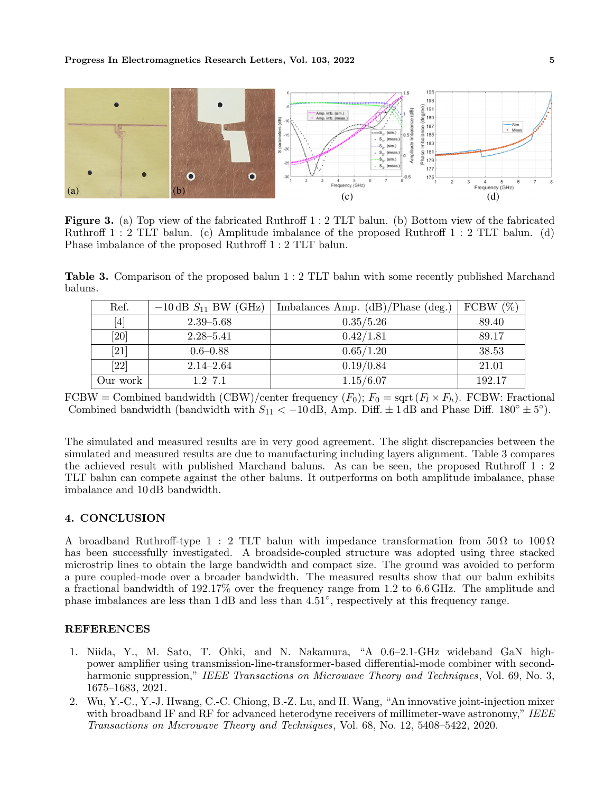

**Figure 3.** (a) Top view of the fabricated Ruthroff 1 : 2 TLT balun. (b) Bottom view of the fabricated Ruthroff 1 : 2 TLT balun. (c) Amplitude imbalance of the proposed Ruthroff 1 : 2 TLT balun. (d) Phase imbalance of the proposed Ruthroff 1 : 2 TLT balun.

**Table 3.** Comparison of the proposed balun 1 : 2 TLT balun with some recently published Marchand baluns.

| Ref.                                                                                                                                                                                  | $-10$ dB $S_{11}$ BW (GHz) | Imbalances Amp. $(dB)/Phase$ (deg.) | FCBW $(\%)$ |
|---------------------------------------------------------------------------------------------------------------------------------------------------------------------------------------|----------------------------|-------------------------------------|-------------|
| $[4] % \includegraphics[width=1\textwidth]{images/TrDiM-Architecture.png} \caption{The figure shows the results of the estimators in the left hand side.} \label{TrDiM-Architecture}$ | $2.39 - 5.68$              | 0.35/5.26                           | 89.40       |
| [20]                                                                                                                                                                                  | $2.28 - 5.41$              | 0.42/1.81                           | 89.17       |
| $\left[ 21\right]$                                                                                                                                                                    | $0.6 - 0.88$               | 0.65/1.20                           | 38.53       |
| $[22]$                                                                                                                                                                                | $2.14 - 2.64$              | 0.19/0.84                           | 21.01       |
| Our work                                                                                                                                                                              | $1.2 - 7.1$                | 1.15/6.07                           | 192.17      |

FCBW = Combined bandwidth (CBW)/center frequency  $(F_0)$ ;  $F_0 = \text{sqrt}(F_l \times F_h)$ . FCBW: Fractional Combined bandwidth (bandwidth with  $S_{11} < -10$  dB, Amp. Diff.  $\pm 1$  dB and Phase Diff. 180<sup>°</sup>  $\pm 5$ <sup>°</sup>).

The simulated and measured results are in very good agreement. The slight discrepancies between the simulated and measured results are due to manufacturing including layers alignment. Table 3 compares the achieved result with published Marchand baluns. As can be seen, the proposed Ruthroff 1 : 2 TLT balun can compete against the other baluns. It outperforms on both amplitude imbalance, phase imbalance and 10 dB bandwidth.

## **4. CONCLUSION**

A broadband Ruthroff-type 1 : 2 TLT balun with impedance transformation from  $50\Omega$  to  $100\Omega$ has been successfully investigated. A broadside-coupled structure was adopted using three stacked microstrip lines to obtain the large bandwidth and compact size. The ground was avoided to perform a pure coupled-mode over a broader bandwidth. The measured results show that our balun exhibits a fractional bandwidth of 192.17% over the frequency range from 1.2 to 6.6 GHz. The amplitude and phase imbalances are less than 1 dB and less than 4.51*◦* , respectively at this frequency range.

## **REFERENCES**

- 1. Niida, Y., M. Sato, T. Ohki, and N. Nakamura, "A 0.6–2.1-GHz wideband GaN highpower amplifier using transmission-line-transformer-based differential-mode combiner with secondharmonic suppression," *IEEE Transactions on Microwave Theory and Techniques*, Vol. 69, No. 3, 1675–1683, 2021.
- 2. Wu, Y.-C., Y.-J. Hwang, C.-C. Chiong, B.-Z. Lu, and H. Wang, "An innovative joint-injection mixer with broadband IF and RF for advanced heterodyne receivers of millimeter-wave astronomy," *IEEE Transactions on Microwave Theory and Techniques*, Vol. 68, No. 12, 5408–5422, 2020.